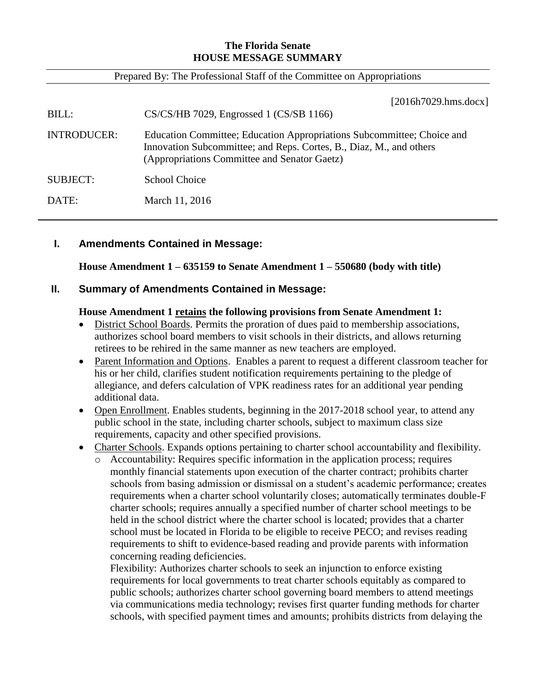# **The Florida Senate HOUSE MESSAGE SUMMARY**

#### Prepared By: The Professional Staff of the Committee on Appropriations

| BILL:              | [2016h7029. hms.docx]<br>CS/CS/HB 7029, Engrossed 1 (CS/SB 1166)                                                                                                                              |
|--------------------|-----------------------------------------------------------------------------------------------------------------------------------------------------------------------------------------------|
| <b>INTRODUCER:</b> | Education Committee; Education Appropriations Subcommittee; Choice and<br>Innovation Subcommittee; and Reps. Cortes, B., Diaz, M., and others<br>(Appropriations Committee and Senator Gaetz) |
| SUBJECT:           | School Choice                                                                                                                                                                                 |
| DATE:              | March 11, 2016                                                                                                                                                                                |

## **I. Amendments Contained in Message:**

**House Amendment 1 – 635159 to Senate Amendment 1 – 550680 (body with title)**

## **II. Summary of Amendments Contained in Message:**

#### **House Amendment 1 retains the following provisions from Senate Amendment 1:**

- District School Boards. Permits the proration of dues paid to membership associations, authorizes school board members to visit schools in their districts, and allows returning retirees to be rehired in the same manner as new teachers are employed.
- Parent Information and Options. Enables a parent to request a different classroom teacher for his or her child, clarifies student notification requirements pertaining to the pledge of allegiance, and defers calculation of VPK readiness rates for an additional year pending additional data.
- Open Enrollment. Enables students, beginning in the 2017-2018 school year, to attend any public school in the state, including charter schools, subject to maximum class size requirements, capacity and other specified provisions.
- Charter Schools. Expands options pertaining to charter school accountability and flexibility.
	- o Accountability: Requires specific information in the application process; requires monthly financial statements upon execution of the charter contract; prohibits charter schools from basing admission or dismissal on a student's academic performance; creates requirements when a charter school voluntarily closes; automatically terminates double-F charter schools; requires annually a specified number of charter school meetings to be held in the school district where the charter school is located; provides that a charter school must be located in Florida to be eligible to receive PECO; and revises reading requirements to shift to evidence-based reading and provide parents with information concerning reading deficiencies.

Flexibility: Authorizes charter schools to seek an injunction to enforce existing requirements for local governments to treat charter schools equitably as compared to public schools; authorizes charter school governing board members to attend meetings via communications media technology; revises first quarter funding methods for charter schools, with specified payment times and amounts; prohibits districts from delaying the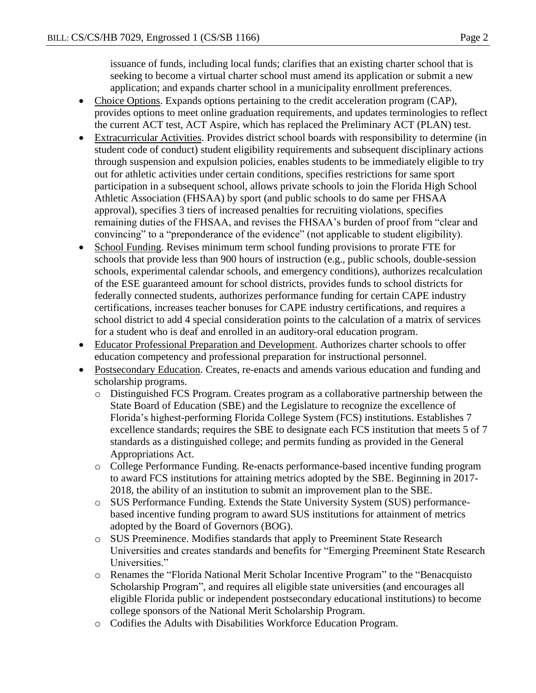issuance of funds, including local funds; clarifies that an existing charter school that is seeking to become a virtual charter school must amend its application or submit a new application; and expands charter school in a municipality enrollment preferences.

- Choice Options. Expands options pertaining to the credit acceleration program (CAP), provides options to meet online graduation requirements, and updates terminologies to reflect the current ACT test, ACT Aspire, which has replaced the Preliminary ACT (PLAN) test.
- Extracurricular Activities. Provides district school boards with responsibility to determine (in student code of conduct) student eligibility requirements and subsequent disciplinary actions through suspension and expulsion policies, enables students to be immediately eligible to try out for athletic activities under certain conditions, specifies restrictions for same sport participation in a subsequent school, allows private schools to join the Florida High School Athletic Association (FHSAA) by sport (and public schools to do same per FHSAA approval), specifies 3 tiers of increased penalties for recruiting violations, specifies remaining duties of the FHSAA, and revises the FHSAA's burden of proof from "clear and convincing" to a "preponderance of the evidence" (not applicable to student eligibility).
- School Funding. Revises minimum term school funding provisions to prorate FTE for schools that provide less than 900 hours of instruction (e.g., public schools, double-session schools, experimental calendar schools, and emergency conditions), authorizes recalculation of the ESE guaranteed amount for school districts, provides funds to school districts for federally connected students, authorizes performance funding for certain CAPE industry certifications, increases teacher bonuses for CAPE industry certifications, and requires a school district to add 4 special consideration points to the calculation of a matrix of services for a student who is deaf and enrolled in an auditory-oral education program.
- Educator Professional Preparation and Development. Authorizes charter schools to offer education competency and professional preparation for instructional personnel.
- Postsecondary Education. Creates, re-enacts and amends various education and funding and scholarship programs.
	- o Distinguished FCS Program. Creates program as a collaborative partnership between the State Board of Education (SBE) and the Legislature to recognize the excellence of Florida's highest-performing Florida College System (FCS) institutions. Establishes 7 excellence standards; requires the SBE to designate each FCS institution that meets 5 of 7 standards as a distinguished college; and permits funding as provided in the General Appropriations Act.
	- o College Performance Funding. Re-enacts performance-based incentive funding program to award FCS institutions for attaining metrics adopted by the SBE. Beginning in 2017- 2018, the ability of an institution to submit an improvement plan to the SBE.
	- o SUS Performance Funding. Extends the State University System (SUS) performancebased incentive funding program to award SUS institutions for attainment of metrics adopted by the Board of Governors (BOG).
	- o SUS Preeminence. Modifies standards that apply to Preeminent State Research Universities and creates standards and benefits for "Emerging Preeminent State Research Universities."
	- o Renames the "Florida National Merit Scholar Incentive Program" to the "Benacquisto Scholarship Program", and requires all eligible state universities (and encourages all eligible Florida public or independent postsecondary educational institutions) to become college sponsors of the National Merit Scholarship Program.
	- o Codifies the Adults with Disabilities Workforce Education Program.